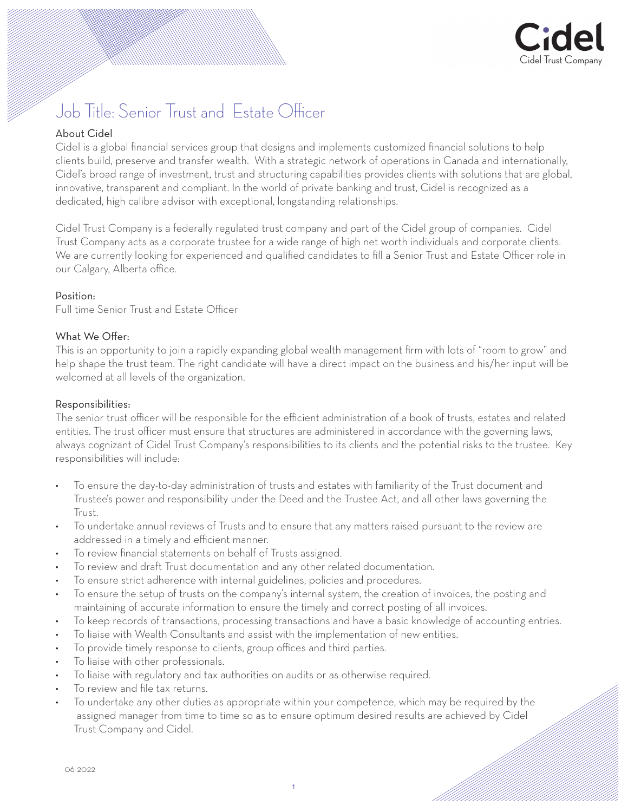

# Job Title: Senior Trust and Estate Officer

# About Cidel

Cidel is a global financial services group that designs and implements customized financial solutions to help clients build, preserve and transfer wealth. With a strategic network of operations in Canada and internationally, Cidel's broad range of investment, trust and structuring capabilities provides clients with solutions that are global, innovative, transparent and compliant. In the world of private banking and trust, Cidel is recognized as a dedicated, high calibre advisor with exceptional, longstanding relationships.

Cidel Trust Company is a federally regulated trust company and part of the Cidel group of companies. Cidel Trust Company acts as a corporate trustee for a wide range of high net worth individuals and corporate clients. We are currently looking for experienced and qualified candidates to fill a Senior Trust and Estate Officer role in our Calgary, Alberta office.

#### Position:

Full time Senior Trust and Estate Officer

## What We Offer.

This is an opportunity to join a rapidly expanding global wealth management firm with lots of "room to grow" and help shape the trust team. The right candidate will have a direct impact on the business and his/her input will be welcomed at all levels of the organization.

### Responsibilities:

The senior trust officer will be responsible for the efficient administration of a book of trusts, estates and related entities. The trust officer must ensure that structures are administered in accordance with the governing laws, always cognizant of Cidel Trust Company's responsibilities to its clients and the potential risks to the trustee. Key responsibilities will include:

- To ensure the day-to-day administration of trusts and estates with familiarity of the Trust document and Trustee's power and responsibility under the Deed and the Trustee Act, and all other laws governing the Trust.
- To undertake annual reviews of Trusts and to ensure that any matters raised pursuant to the review are addressed in a timely and efficient manner.
- To review financial statements on behalf of Trusts assigned.
- To review and draft Trust documentation and any other related documentation.
- To ensure strict adherence with internal guidelines, policies and procedures.
- To ensure the setup of trusts on the company's internal system, the creation of invoices, the posting and maintaining of accurate information to ensure the timely and correct posting of all invoices.
- To keep records of transactions, processing transactions and have a basic knowledge of accounting entries.
- To liaise with Wealth Consultants and assist with the implementation of new entities.
- To provide timely response to clients, group offices and third parties.
- To liaise with other professionals.
- To liaise with regulatory and tax authorities on audits or as otherwise required.
- To review and file tax returns.
- To undertake any other duties as appropriate within your competence, which may be required by the assigned manager from time to time so as to ensure optimum desired results are achieved by Cidel Trust Company and Cidel.

06 2022